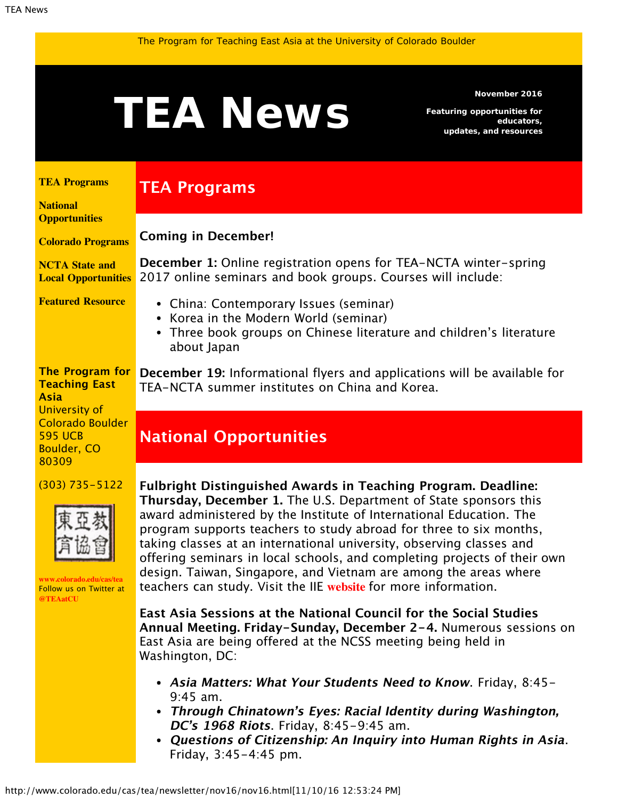<span id="page-0-1"></span>

#### **November 2016**

*Featuring opportunities for educators, updates, and resources*

### <span id="page-0-0"></span>**[TEA Programs](#page-0-0)**

**[National](#page-0-1) [Opportunities](#page-0-1)**

**[Colorado Programs](#page-0-1) Coming in December!**

**TEA Programs**

**[NCTA State and](#page-2-0) [Local Opportunities](#page-2-0) December 1:** Online registration opens for TEA-NCTA winter-spring 2017 online seminars and book groups. Courses will include:

**[Featured Resource](#page-2-1)**

**The Program for Teaching East Asia** University of

Colorado Boulder 595 UCB Boulder, CO 80309

(303) 735-5122



**[www.colorado.edu/cas/tea](http://www.colorado.edu/cas/tea)** Follow us on Twitter at **[@TEAatCU](https://twitter.com/TEAatCU)**

Three book groups on Chinese literature and children's literature about Japan

**December 19:** Informational flyers and applications will be available for TEA-NCTA summer institutes on China and Korea.

# **National Opportunities**

China: Contemporary Issues (seminar) • Korea in the Modern World (seminar)

**Fulbright Distinguished Awards in Teaching Program. Deadline: Thursday, December 1.** The U.S. Department of State sponsors this award administered by the Institute of International Education. The program supports teachers to study abroad for three to six months, taking classes at an international university, observing classes and offering seminars in local schools, and completing projects of their own design. Taiwan, Singapore, and Vietnam are among the areas where teachers can study. Visit the IIE **[website](http://www.iie.org/Programs/Fulbright-Awards-In-Teaching#.WCELBijDOng)** for more information.

**East Asia Sessions at the National Council for the Social Studies Annual Meeting. Friday-Sunday, December 2-4.** Numerous sessions on East Asia are being offered at the NCSS meeting being held in Washington, DC:

- **Asia Matters: What Your Students Need to Know**. Friday, 8:45- 9:45 am.
- **Through Chinatown's Eyes: Racial Identity during Washington, DC's 1968 Riots**. Friday, 8:45-9:45 am.
- **Questions of Citizenship: An Inquiry into Human Rights in Asia**. Friday, 3:45-4:45 pm.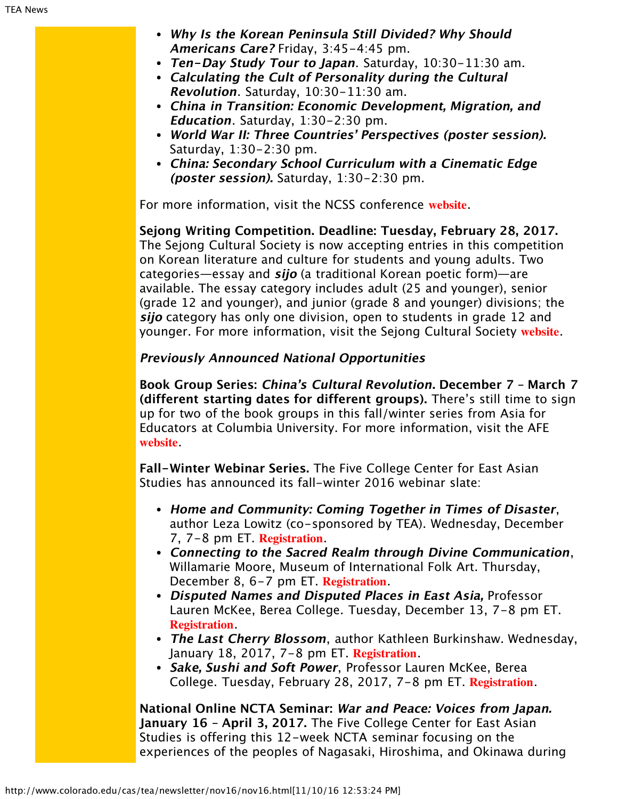- **Why Is the Korean Peninsula Still Divided? Why Should Americans Care?** Friday, 3:45-4:45 pm.
- **Ten-Day Study Tour to Japan**. Saturday, 10:30-11:30 am.
- **Calculating the Cult of Personality during the Cultural Revolution**. Saturday, 10:30-11:30 am.
- **China in Transition: Economic Development, Migration, and Education**. Saturday, 1:30-2:30 pm.
- **World War II: Three Countries' Perspectives (poster session).** Saturday, 1:30-2:30 pm.
- **China: Secondary School Curriculum with a Cinematic Edge (poster session).** Saturday, 1:30-2:30 pm.

For more information, visit the NCSS conference **[website](http://www.socialstudies.org/conference)**.

**Sejong Writing Competition. Deadline: Tuesday, February 28, 2017.** The Sejong Cultural Society is now accepting entries in this competition on Korean literature and culture for students and young adults. Two categories—essay and **sijo** (a traditional Korean poetic form)—are available. The essay category includes adult (25 and younger), senior (grade 12 and younger), and junior (grade 8 and younger) divisions; the **sijo** category has only one division, open to students in grade 12 and younger. For more information, visit the Sejong Cultural Society **[website](http://www.sejongculturalsociety.org/writing/current/index.php)**.

### **Previously Announced National Opportunities**

**Book Group Series: China's Cultural Revolution. December 7 – March 7 (different starting dates for different groups).** There's still time to sign up for two of the book groups in this fall/winter series from Asia for Educators at Columbia University. For more information, visit the AFE **[website](http://asiaforeducators.org/course/index.php?categoryid=56)**.

**Fall-Winter Webinar Series.** The Five College Center for East Asian Studies has announced its fall-winter 2016 webinar slate:

- **Home and Community: Coming Together in Times of Disaster**, author Leza Lowitz (co-sponsored by TEA). Wednesday, December 7, 7-8 pm ET. **[Registration](https://attendee.gotowebinar.com/register/8811807619263199491)**.
- **Connecting to the Sacred Realm through Divine Communication**, Willamarie Moore, Museum of International Folk Art. Thursday, December 8, 6-7 pm ET. **[Registration](https://attendee.gotowebinar.com/register/757199950078992643)**.
- **Disputed Names and Disputed Places in East Asia,** Professor Lauren McKee, Berea College. Tuesday, December 13, 7-8 pm ET. **[Registration](https://attendee.gotowebinar.com/register/916852338137523201)**.
- **The Last Cherry Blossom**, author Kathleen Burkinshaw. Wednesday, January 18, 2017, 7-8 pm ET. **[Registration](https://attendee.gotowebinar.com/register/8494682079059305474)**.
- **Sake, Sushi and Soft Power**, Professor Lauren McKee, Berea College. Tuesday, February 28, 2017, 7-8 pm ET. **[Registration](https://attendee.gotowebinar.com/register/2872355758413758466)**.

**National Online NCTA Seminar: War and Peace: Voices from Japan. January 16 – April 3, 2017.** The Five College Center for East Asian Studies is offering this 12-week NCTA seminar focusing on the experiences of the peoples of Nagasaki, Hiroshima, and Okinawa during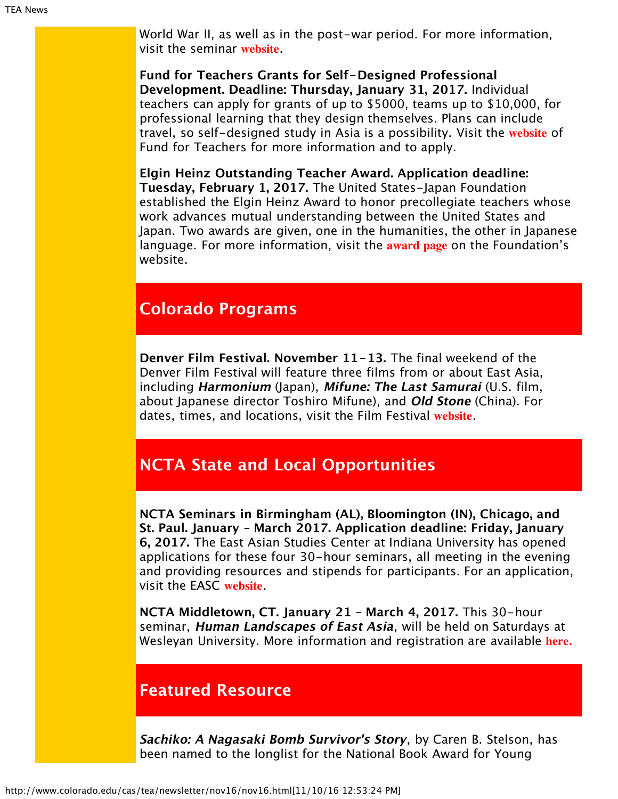World War II, as well as in the post-war period. For more information, visit the seminar **[website](https://www.fivecolleges.edu/fcceas/ncta/national-online)**.

**Fund for Teachers Grants for Self-Designed Professional Development. Deadline: Thursday, January 31, 2017.** Individual teachers can apply for grants of up to \$5000, teams up to \$10,000, for professional learning that they design themselves. Plans can include travel, so self-designed study in Asia is a possibility. Visit the **[website](http://fft.fundforteachers.org/)** of Fund for Teachers for more information and to apply.

**Elgin Heinz Outstanding Teacher Award. Application deadline: Tuesday, February 1, 2017.** The United States-Japan Foundation established the Elgin Heinz Award to honor precollegiate teachers whose work advances mutual understanding between the United States and Japan. Two awards are given, one in the humanities, the other in Japanese language. For more information, visit the **[award page](http://us-jf.org/programs/elgin-heinz-teacher-awards/)** on the Foundation's website.

## **Colorado Programs**

**Denver Film Festival. November 11-13.** The final weekend of the Denver Film Festival will feature three films from or about East Asia, including **Harmonium** (Japan), **Mifune: The Last Samurai** (U.S. film, about Japanese director Toshiro Mifune), and **Old Stone** (China). For dates, times, and locations, visit the Film Festival **[website](http://denverfilmfestival.denverfilm.org/festival-program/)**.

# <span id="page-2-0"></span>**NCTA State and Local Opportunities**

**NCTA Seminars in Birmingham (AL), Bloomington (IN), Chicago, and St. Paul. January – March 2017. Application deadline: Friday, January 6, 2017.** The East Asian Studies Center at Indiana University has opened applications for these four 30-hour seminars, all meeting in the evening and providing resources and stipends for participants. For an application, visit the EASC **[website](http://www.indiana.edu/~easc/outreach/educators/seminar/)**.

**NCTA Middletown, CT. January 21 – March 4, 2017.** This 30-hour seminar, **Human Landscapes of East Asia**, will be held on Saturdays at Wesleyan University. More information and registration are available **[here.](https://www.fivecolleges.edu/system/files/attachments/Seminar%20information%20and%20application%20form_1.pdf)**

## <span id="page-2-1"></span>**Featured Resource**

**Sachiko: A Nagasaki Bomb Survivor's Story**, by Caren B. Stelson, has been named to the longlist for the National Book Award for Young